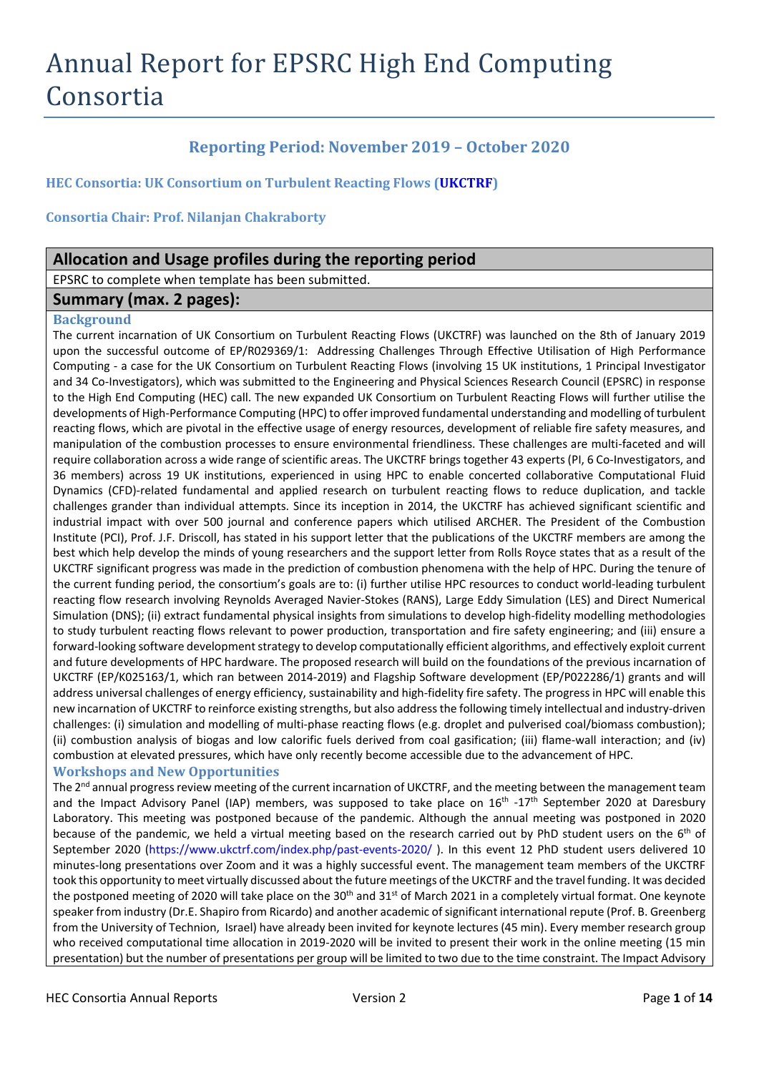# Annual Report for EPSRC High End Computing Consortia

# **Reporting Period: November 2019 – October 2020**

**HEC Consortia: UK Consortium on Turbulent Reacting Flows [\(UKCTRF\)](http://www.ukctrf.com/)**

**Consortia Chair: Prof. Nilanjan Chakraborty**

# **Allocation and Usage profiles during the reporting period**

EPSRC to complete when template has been submitted.

# **Summary (max. 2 pages):**

#### **Background**

The current incarnation of UK Consortium on Turbulent Reacting Flows (UKCTRF) was launched on the 8th of January 2019 upon the successful outcome of EP/R029369/1: Addressing Challenges Through Effective Utilisation of High Performance Computing - a case for the UK Consortium on Turbulent Reacting Flows (involving 15 UK institutions, 1 Principal Investigator and 34 Co-Investigators), which was submitted to the Engineering and Physical Sciences Research Council (EPSRC) in response to the High End Computing (HEC) call. The new expanded UK Consortium on Turbulent Reacting Flows will further utilise the developments of High-Performance Computing (HPC) to offer improved fundamental understanding and modelling of turbulent reacting flows, which are pivotal in the effective usage of energy resources, development of reliable fire safety measures, and manipulation of the combustion processes to ensure environmental friendliness. These challenges are multi-faceted and will require collaboration across a wide range of scientific areas. The UKCTRF brings together 43 experts (PI, 6 Co-Investigators, and 36 members) across 19 UK institutions, experienced in using HPC to enable concerted collaborative Computational Fluid Dynamics (CFD)-related fundamental and applied research on turbulent reacting flows to reduce duplication, and tackle challenges grander than individual attempts. Since its inception in 2014, the UKCTRF has achieved significant scientific and industrial impact with over 500 journal and conference papers which utilised ARCHER. The President of the Combustion Institute (PCI), Prof. J.F. Driscoll, has stated in his support letter that the publications of the UKCTRF members are among the best which help develop the minds of young researchers and the support letter from Rolls Royce states that as a result of the UKCTRF significant progress was made in the prediction of combustion phenomena with the help of HPC. During the tenure of the current funding period, the consortium's goals are to: (i) further utilise HPC resources to conduct world-leading turbulent reacting flow research involving Reynolds Averaged Navier-Stokes (RANS), Large Eddy Simulation (LES) and Direct Numerical Simulation (DNS); (ii) extract fundamental physical insights from simulations to develop high-fidelity modelling methodologies to study turbulent reacting flows relevant to power production, transportation and fire safety engineering; and (iii) ensure a forward-looking software development strategy to develop computationally efficient algorithms, and effectively exploit current and future developments of HPC hardware. The proposed research will build on the foundations of the previous incarnation of UKCTRF (EP/K025163/1, which ran between 2014-2019) and Flagship Software development (EP/P022286/1) grants and will address universal challenges of energy efficiency, sustainability and high-fidelity fire safety. The progress in HPC will enable this new incarnation of UKCTRF to reinforce existing strengths, but also address the following timely intellectual and industry-driven challenges: (i) simulation and modelling of multi-phase reacting flows (e.g. droplet and pulverised coal/biomass combustion); (ii) combustion analysis of biogas and low calorific fuels derived from coal gasification; (iii) flame-wall interaction; and (iv) combustion at elevated pressures, which have only recently become accessible due to the advancement of HPC.

#### **Workshops and New Opportunities**

The 2<sup>nd</sup> annual progress review meeting of the current incarnation of UKCTRF, and the meeting between the management team and the Impact Advisory Panel (IAP) members, was supposed to take place on  $16<sup>th</sup> -17<sup>th</sup>$  September 2020 at Daresbury Laboratory. This meeting was postponed because of the pandemic. Although the annual meeting was postponed in 2020 because of the pandemic, we held a virtual meeting based on the research carried out by PhD student users on the 6<sup>th</sup> of September 2020 [\(https://www.ukctrf.com/index.php/past-events-2020/](https://www.ukctrf.com/index.php/past-events-2020/) ). In this event 12 PhD student users delivered 10 minutes-long presentations over Zoom and it was a highly successful event. The management team members of the UKCTRF took this opportunity to meet virtually discussed about the future meetings of the UKCTRF and the travel funding. It was decided the postponed meeting of 2020 will take place on the 30<sup>th</sup> and 31<sup>st</sup> of March 2021 in a completely virtual format. One keynote speaker from industry (Dr.E. Shapiro from Ricardo) and another academic of significant international repute (Prof. B. Greenberg from the University of Technion, Israel) have already been invited for keynote lectures (45 min). Every member research group who received computational time allocation in 2019-2020 will be invited to present their work in the online meeting (15 min presentation) but the number of presentations per group will be limited to two due to the time constraint. The Impact Advisory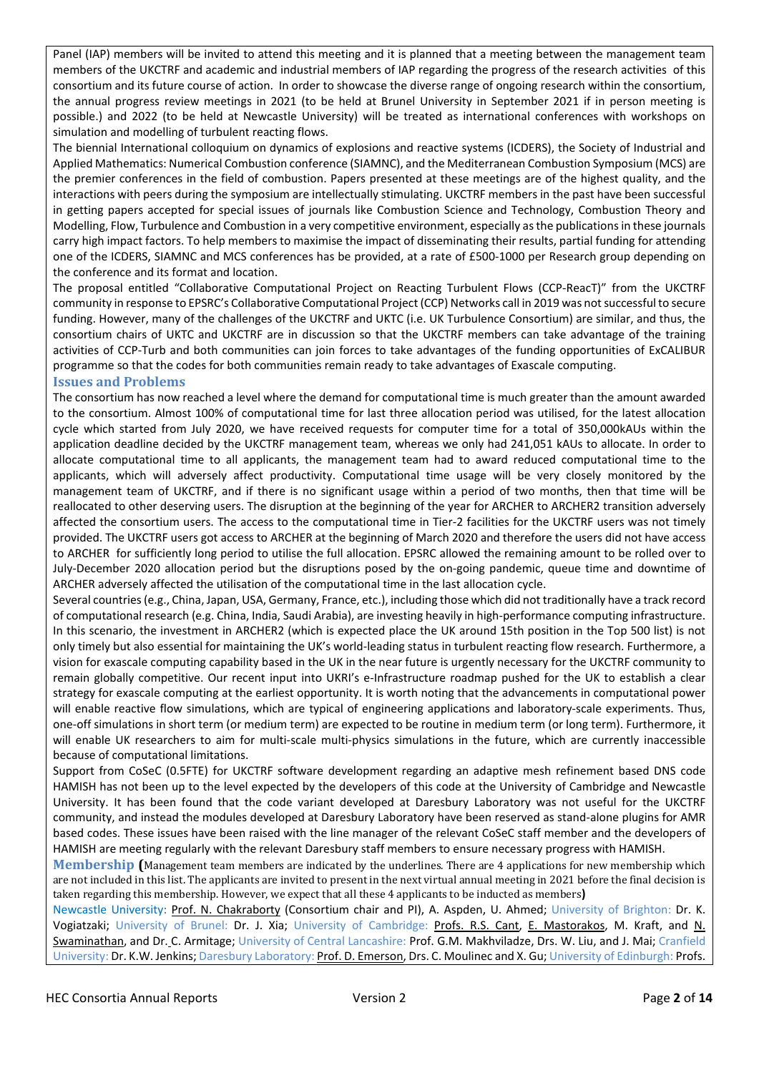Panel (IAP) members will be invited to attend this meeting and it is planned that a meeting between the management team members of the UKCTRF and academic and industrial members of IAP regarding the progress of the research activities of this consortium and its future course of action. In order to showcase the diverse range of ongoing research within the consortium, the annual progress review meetings in 2021 (to be held at Brunel University in September 2021 if in person meeting is possible.) and 2022 (to be held at Newcastle University) will be treated as international conferences with workshops on simulation and modelling of turbulent reacting flows.

The biennial International colloquium on dynamics of explosions and reactive systems (ICDERS), the Society of Industrial and Applied Mathematics: Numerical Combustion conference (SIAMNC), and the Mediterranean Combustion Symposium (MCS) are the premier conferences in the field of combustion. Papers presented at these meetings are of the highest quality, and the interactions with peers during the symposium are intellectually stimulating. UKCTRF members in the past have been successful in getting papers accepted for special issues of journals like Combustion Science and Technology, Combustion Theory and Modelling, Flow, Turbulence and Combustion in a very competitive environment, especially as the publications in these journals carry high impact factors. To help members to maximise the impact of disseminating their results, partial funding for attending one of the ICDERS, SIAMNC and MCS conferences has be provided, at a rate of £500-1000 per Research group depending on the conference and its format and location.

The proposal entitled "Collaborative Computational Project on Reacting Turbulent Flows (CCP-ReacT)" from the UKCTRF community in response to EPSRC's Collaborative Computational Project (CCP) Networks call in 2019 was not successful to secure funding. However, many of the challenges of the UKCTRF and UKTC (i.e. UK Turbulence Consortium) are similar, and thus, the consortium chairs of UKTC and UKCTRF are in discussion so that the UKCTRF members can take advantage of the training activities of CCP-Turb and both communities can join forces to take advantages of the funding opportunities of ExCALIBUR programme so that the codes for both communities remain ready to take advantages of Exascale computing.

#### **Issues and Problems**

The consortium has now reached a level where the demand for computational time is much greater than the amount awarded to the consortium. Almost 100% of computational time for last three allocation period was utilised, for the latest allocation cycle which started from July 2020, we have received requests for computer time for a total of 350,000kAUs within the application deadline decided by the UKCTRF management team, whereas we only had 241,051 kAUs to allocate. In order to allocate computational time to all applicants, the management team had to award reduced computational time to the applicants, which will adversely affect productivity. Computational time usage will be very closely monitored by the management team of UKCTRF, and if there is no significant usage within a period of two months, then that time will be reallocated to other deserving users. The disruption at the beginning of the year for ARCHER to ARCHER2 transition adversely affected the consortium users. The access to the computational time in Tier-2 facilities for the UKCTRF users was not timely provided. The UKCTRF users got access to ARCHER at the beginning of March 2020 and therefore the users did not have access to ARCHER for sufficiently long period to utilise the full allocation. EPSRC allowed the remaining amount to be rolled over to July-December 2020 allocation period but the disruptions posed by the on-going pandemic, queue time and downtime of ARCHER adversely affected the utilisation of the computational time in the last allocation cycle.

Several countries (e.g., China, Japan, USA, Germany, France, etc.), including those which did not traditionally have a track record of computational research (e.g. China, India, Saudi Arabia), are investing heavily in high-performance computing infrastructure. In this scenario, the investment in ARCHER2 (which is expected place the UK around 15th position in the Top 500 list) is not only timely but also essential for maintaining the UK's world-leading status in turbulent reacting flow research. Furthermore, a vision for exascale computing capability based in the UK in the near future is urgently necessary for the UKCTRF community to remain globally competitive. Our recent input into UKRI's e-Infrastructure roadmap pushed for the UK to establish a clear strategy for exascale computing at the earliest opportunity. It is worth noting that the advancements in computational power will enable reactive flow simulations, which are typical of engineering applications and laboratory-scale experiments. Thus, one-off simulations in short term (or medium term) are expected to be routine in medium term (or long term). Furthermore, it will enable UK researchers to aim for multi-scale multi-physics simulations in the future, which are currently inaccessible because of computational limitations.

Support from CoSeC (0.5FTE) for UKCTRF software development regarding an adaptive mesh refinement based DNS code HAMISH has not been up to the level expected by the developers of this code at the University of Cambridge and Newcastle University. It has been found that the code variant developed at Daresbury Laboratory was not useful for the UKCTRF community, and instead the modules developed at Daresbury Laboratory have been reserved as stand-alone plugins for AMR based codes. These issues have been raised with the line manager of the relevant CoSeC staff member and the developers of HAMISH are meeting regularly with the relevant Daresbury staff members to ensure necessary progress with HAMISH.

**Membership (**Management team members are indicated by the underlines. There are 4 applications for new membership which are not included in this list. The applicants are invited to present in the next virtual annual meeting in 2021 before the final decision is taken regarding this membership. However, we expect that all these 4 applicants to be inducted as members**)**

Newcastle University: Prof. N. Chakraborty (Consortium chair and PI), A. Aspden, U. Ahmed; University of Brighton: Dr. K. Vogiatzaki; University of Brunel: Dr. J. Xia; University of Cambridge: Profs. R.S. Cant, E. Mastorakos, M. Kraft, and N. Swaminathan, and Dr. C. Armitage; University of Central Lancashire: Prof. G.M. Makhviladze, Drs. W. Liu, and J. Mai; Cranfield University: Dr. K.W. Jenkins; Daresbury Laboratory: Prof. D. Emerson, Drs. C. Moulinec and X. Gu; University of Edinburgh: Profs.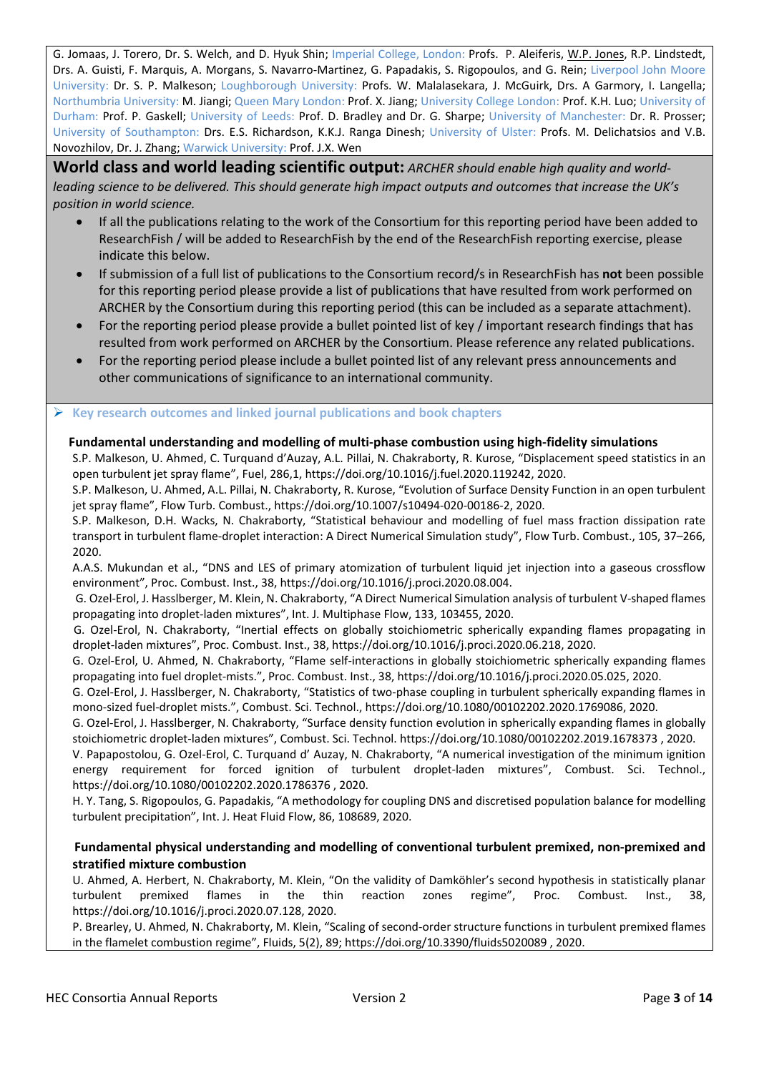G. Jomaas, J. Torero, Dr. S. Welch, and D. Hyuk Shin; Imperial College, London: Profs. P. Aleiferis, W.P. Jones, R.P. Lindstedt, Drs. A. Guisti, F. Marquis, A. Morgans, S. Navarro-Martinez, G. Papadakis, S. Rigopoulos, and G. Rein; Liverpool John Moore University: Dr. S. P. Malkeson; Loughborough University: Profs. W. Malalasekara, J. McGuirk, Drs. A Garmory, I. Langella; Northumbria University: M. Jiangi; Queen Mary London: Prof. X. Jiang; University College London: Prof. K.H. Luo; University of Durham: Prof. P. Gaskell; University of Leeds: Prof. D. Bradley and Dr. G. Sharpe; University of Manchester: Dr. R. Prosser; University of Southampton: Drs. E.S. Richardson, K.K.J. Ranga Dinesh; University of Ulster: Profs. M. Delichatsios and V.B. Novozhilov, Dr. J. Zhang; Warwick University: Prof. J.X. Wen

**World class and world leading scientific output:** *ARCHER should enable high quality and worldleading science to be delivered. This should generate high impact outputs and outcomes that increase the UK's position in world science.*

- If all the publications relating to the work of the Consortium for this reporting period have been added to ResearchFish / will be added to ResearchFish by the end of the ResearchFish reporting exercise, please indicate this below.
- If submission of a full list of publications to the Consortium record/s in ResearchFish has **not** been possible for this reporting period please provide a list of publications that have resulted from work performed on ARCHER by the Consortium during this reporting period (this can be included as a separate attachment).
- For the reporting period please provide a bullet pointed list of key / important research findings that has resulted from work performed on ARCHER by the Consortium. Please reference any related publications.
- For the reporting period please include a bullet pointed list of any relevant press announcements and other communications of significance to an international community.

## **Key research outcomes and linked journal publications and book chapters**

#### **Fundamental understanding and modelling of multi-phase combustion using high-fidelity simulations**

S.P. Malkeson, U. Ahmed, C. Turquand d'Auzay, A.L. Pillai, N. Chakraborty, R. Kurose, "Displacement speed statistics in an open turbulent jet spray flame", Fuel, 286,1, https://doi.org/10.1016/j.fuel.2020.119242, 2020.

S.P. Malkeson, U. Ahmed, A.L. Pillai, N. Chakraborty, R. Kurose, "Evolution of Surface Density Function in an open turbulent jet spray flame", Flow Turb. Combust., https://doi.org/10.1007/s10494-020-00186-2, 2020.

S.P. Malkeson, D.H. Wacks, N. Chakraborty, "Statistical behaviour and modelling of fuel mass fraction dissipation rate transport in turbulent flame-droplet interaction: A Direct Numerical Simulation study", Flow Turb. Combust., 105, 37–266, 2020.

A.A.S. Mukundan et al., "DNS and LES of primary atomization of turbulent liquid jet injection into a gaseous crossflow environment", Proc. Combust. Inst., 38, https://doi.org/10.1016/j.proci.2020.08.004.

G. Ozel-Erol, J. Hasslberger, M. Klein, N. Chakraborty, "A Direct Numerical Simulation analysis of turbulent V-shaped flames propagating into droplet-laden mixtures", Int. J. Multiphase Flow, 133, 103455, 2020.

G. Ozel-Erol, N. Chakraborty, "Inertial effects on globally stoichiometric spherically expanding flames propagating in droplet-laden mixtures", Proc. Combust. Inst., 38, https://doi.org/10.1016/j.proci.2020.06.218, 2020.

G. Ozel-Erol, U. Ahmed, N. Chakraborty, "Flame self-interactions in globally stoichiometric spherically expanding flames propagating into fuel droplet-mists.", Proc. Combust. Inst., 38, https://doi.org/10.1016/j.proci.2020.05.025, 2020.

G. Ozel-Erol, J. Hasslberger, N. Chakraborty, "Statistics of two-phase coupling in turbulent spherically expanding flames in mono-sized fuel-droplet mists.", Combust. Sci. Technol., https://doi.org/10.1080/00102202.2020.1769086, 2020.

G. Ozel-Erol, J. Hasslberger, N. Chakraborty, "Surface density function evolution in spherically expanding flames in globally stoichiometric droplet-laden mixtures", Combust. Sci. Technol. https://doi.org/10.1080/00102202.2019.1678373 , 2020.

V. Papapostolou, G. Ozel-Erol, C. Turquand d' Auzay, N. Chakraborty, "A numerical investigation of the minimum ignition energy requirement for forced ignition of turbulent droplet-laden mixtures", Combust. Sci. Technol., https://doi.org/10.1080/00102202.2020.1786376 , 2020.

H. Y. Tang, S. Rigopoulos, G. Papadakis, "A methodology for coupling DNS and discretised population balance for modelling turbulent precipitation", Int. J. Heat Fluid Flow, 86, 108689, 2020.

#### **Fundamental physical understanding and modelling of conventional turbulent premixed, non-premixed and stratified mixture combustion**

U. Ahmed, A. Herbert, N. Chakraborty, M. Klein, "On the validity of Damköhler's second hypothesis in statistically planar turbulent premixed flames in the thin reaction zones regime", Proc. Combust. Inst., 38, https://doi.org/10.1016/j.proci.2020.07.128, 2020.

P. Brearley, U. Ahmed, N. Chakraborty, M. Klein, "Scaling of second-order structure functions in turbulent premixed flames in the flamelet combustion regime", Fluids, 5(2), 89; https://doi.org/10.3390/fluids5020089 , 2020.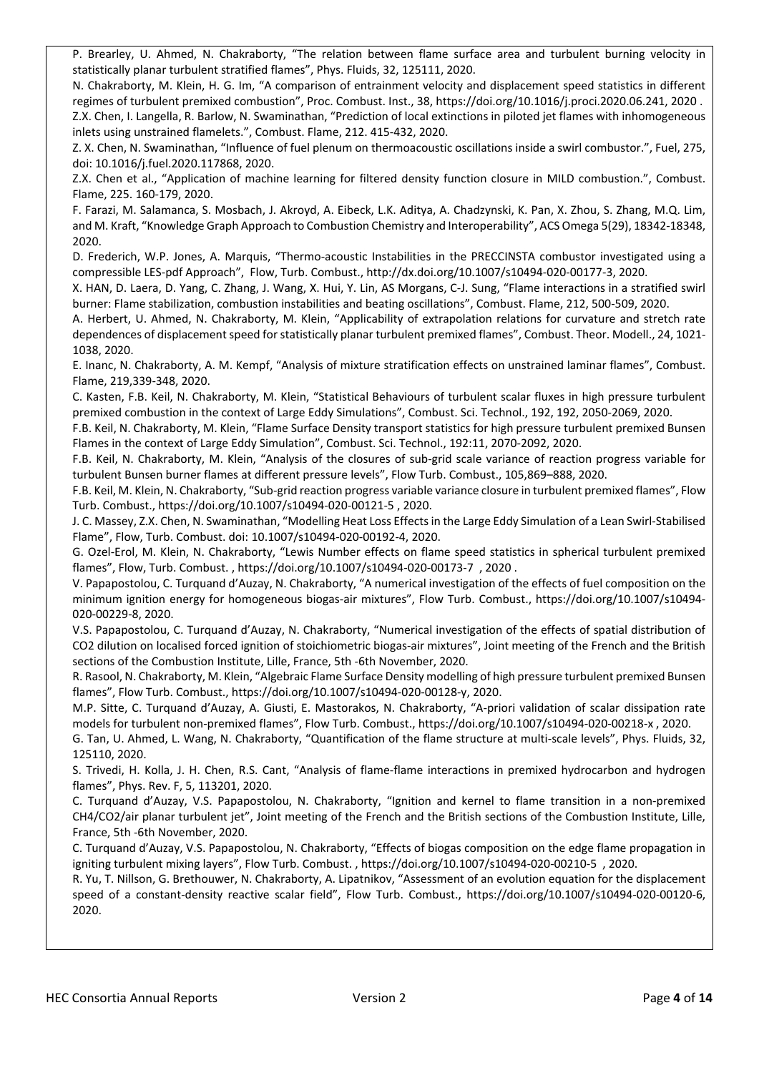P. Brearley, U. Ahmed, N. Chakraborty, "The relation between flame surface area and turbulent burning velocity in statistically planar turbulent stratified flames", Phys. Fluids, 32, 125111, 2020.

N. Chakraborty, M. Klein, H. G. Im, "A comparison of entrainment velocity and displacement speed statistics in different regimes of turbulent premixed combustion", Proc. Combust. Inst., 38, https://doi.org/10.1016/j.proci.2020.06.241, 2020 . Z.X. Chen, I. Langella, R. Barlow, N. Swaminathan, "Prediction of local extinctions in piloted jet flames with inhomogeneous inlets using unstrained flamelets.", Combust. Flame, 212. 415-432, 2020.

Z. X. Chen, N. Swaminathan, "Influence of fuel plenum on thermoacoustic oscillations inside a swirl combustor.", Fuel, 275, doi: 10.1016/j.fuel.2020.117868, 2020.

Z.X. Chen et al., "Application of machine learning for filtered density function closure in MILD combustion.", Combust. Flame, 225. 160-179, 2020.

F. Farazi, M. Salamanca, S. Mosbach, J. Akroyd, A. Eibeck, L.K. Aditya, A. Chadzynski, K. Pan, X. Zhou, S. Zhang, M.Q. Lim, and M. Kraft, "Knowledge Graph Approach to Combustion Chemistry and Interoperability", ACS Omega 5(29), 18342-18348, 2020.

D. Frederich, W.P. Jones, A. Marquis, "Thermo-acoustic Instabilities in the PRECCINSTA combustor investigated using a compressible LES-pdf Approach", Flow, Turb. Combust., http://dx.doi.org/10.1007/s10494-020-00177-3, 2020.

X. HAN, D. Laera, D. Yang, C. Zhang, J. Wang, X. Hui, Y. Lin, AS Morgans, C-J. Sung, "Flame interactions in a stratified swirl burner: Flame stabilization, combustion instabilities and beating oscillations", Combust. Flame, 212, 500-509, 2020.

A. Herbert, U. Ahmed, N. Chakraborty, M. Klein, "Applicability of extrapolation relations for curvature and stretch rate dependences of displacement speed for statistically planar turbulent premixed flames", Combust. Theor. Modell., 24, 1021- 1038, 2020.

E. Inanc, N. Chakraborty, A. M. Kempf, "Analysis of mixture stratification effects on unstrained laminar flames", Combust. Flame, 219,339-348, 2020.

C. Kasten, F.B. Keil, N. Chakraborty, M. Klein, "Statistical Behaviours of turbulent scalar fluxes in high pressure turbulent premixed combustion in the context of Large Eddy Simulations", Combust. Sci. Technol., 192, 192, 2050-2069, 2020.

F.B. Keil, N. Chakraborty, M. Klein, "Flame Surface Density transport statistics for high pressure turbulent premixed Bunsen Flames in the context of Large Eddy Simulation", Combust. Sci. Technol., 192:11, 2070-2092, 2020.

F.B. Keil, N. Chakraborty, M. Klein, "Analysis of the closures of sub-grid scale variance of reaction progress variable for turbulent Bunsen burner flames at different pressure levels", Flow Turb. Combust., 105,869–888, 2020.

F.B. Keil, M. Klein, N. Chakraborty, "Sub-grid reaction progress variable variance closure in turbulent premixed flames", Flow Turb. Combust., https://doi.org/10.1007/s10494-020-00121-5 , 2020.

J. C. Massey, Z.X. Chen, N. Swaminathan, "Modelling Heat Loss Effects in the Large Eddy Simulation of a Lean Swirl-Stabilised Flame", Flow, Turb. Combust. doi: 10.1007/s10494-020-00192-4, 2020.

G. Ozel-Erol, M. Klein, N. Chakraborty, "Lewis Number effects on flame speed statistics in spherical turbulent premixed flames", Flow, Turb. Combust. , https://doi.org/10.1007/s10494-020-00173-7 , 2020 .

V. Papapostolou, C. Turquand d'Auzay, N. Chakraborty, "A numerical investigation of the effects of fuel composition on the minimum ignition energy for homogeneous biogas-air mixtures", Flow Turb. Combust., https://doi.org/10.1007/s10494- 020-00229-8, 2020.

V.S. Papapostolou, C. Turquand d'Auzay, N. Chakraborty, "Numerical investigation of the effects of spatial distribution of CO2 dilution on localised forced ignition of stoichiometric biogas-air mixtures", Joint meeting of the French and the British sections of the Combustion Institute, Lille, France, 5th -6th November, 2020.

R. Rasool, N. Chakraborty, M. Klein, "Algebraic Flame Surface Density modelling of high pressure turbulent premixed Bunsen flames", Flow Turb. Combust., https://doi.org/10.1007/s10494-020-00128-y, 2020.

M.P. Sitte, C. Turquand d'Auzay, A. Giusti, E. Mastorakos, N. Chakraborty, "A-priori validation of scalar dissipation rate models for turbulent non-premixed flames", Flow Turb. Combust., https://doi.org/10.1007/s10494-020-00218-x , 2020.

G. Tan, U. Ahmed, L. Wang, N. Chakraborty, "Quantification of the flame structure at multi-scale levels", Phys. Fluids, 32, 125110, 2020.

S. Trivedi, H. Kolla, J. H. Chen, R.S. Cant, "Analysis of flame-flame interactions in premixed hydrocarbon and hydrogen flames", Phys. Rev. F, 5, 113201, 2020.

C. Turquand d'Auzay, V.S. Papapostolou, N. Chakraborty, "Ignition and kernel to flame transition in a non-premixed CH4/CO2/air planar turbulent jet", Joint meeting of the French and the British sections of the Combustion Institute, Lille, France, 5th -6th November, 2020.

C. Turquand d'Auzay, V.S. Papapostolou, N. Chakraborty, "Effects of biogas composition on the edge flame propagation in igniting turbulent mixing layers", Flow Turb. Combust. , https://doi.org/10.1007/s10494-020-00210-5 , 2020.

R. Yu, T. Nillson, G. Brethouwer, N. Chakraborty, A. Lipatnikov, "Assessment of an evolution equation for the displacement speed of a constant-density reactive scalar field", Flow Turb. Combust., https://doi.org/10.1007/s10494-020-00120-6, 2020.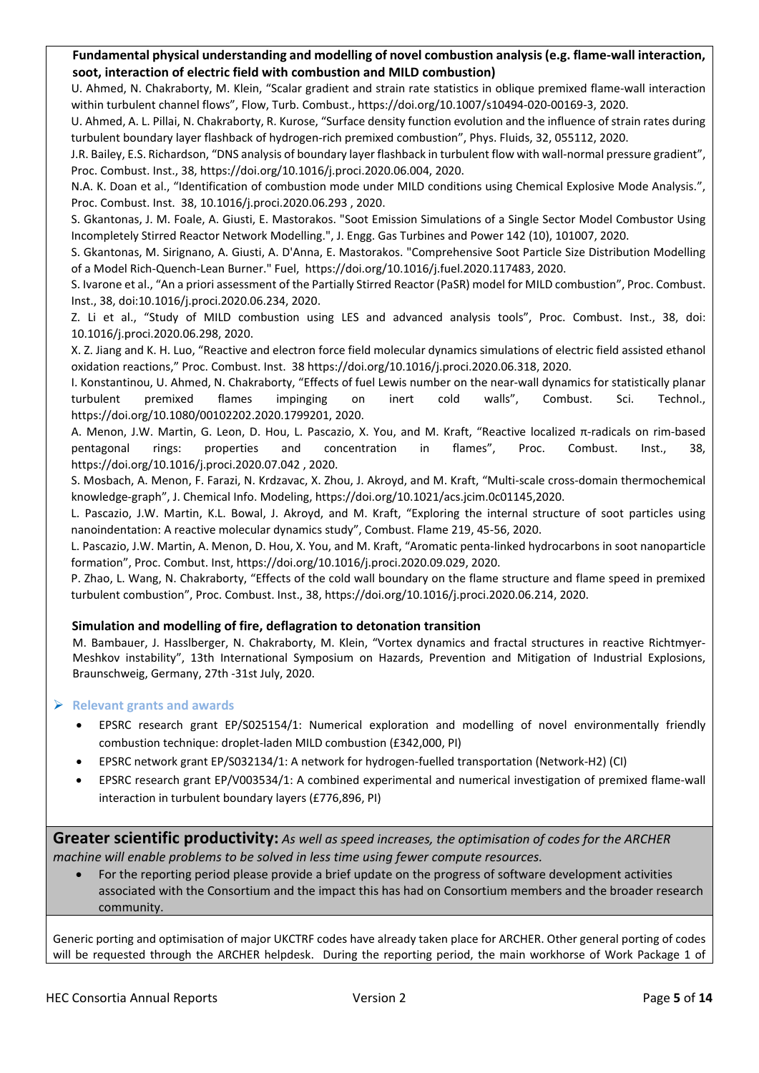#### **Fundamental physical understanding and modelling of novel combustion analysis (e.g. flame-wall interaction, soot, interaction of electric field with combustion and MILD combustion)**

U. Ahmed, N. Chakraborty, M. Klein, "Scalar gradient and strain rate statistics in oblique premixed flame-wall interaction within turbulent channel flows", Flow, Turb. Combust., https://doi.org/10.1007/s10494-020-00169-3, 2020.

U. Ahmed, A. L. Pillai, N. Chakraborty, R. Kurose, "Surface density function evolution and the influence of strain rates during turbulent boundary layer flashback of hydrogen-rich premixed combustion", Phys. Fluids, 32, 055112, 2020.

J.R. Bailey, E.S. Richardson, "DNS analysis of boundary layer flashback in turbulent flow with wall-normal pressure gradient", Proc. Combust. Inst., 38, https://doi.org/10.1016/j.proci.2020.06.004, 2020.

N.A. K. Doan et al., "Identification of combustion mode under MILD conditions using Chemical Explosive Mode Analysis.", Proc. Combust. Inst. 38, 10.1016/j.proci.2020.06.293 , 2020.

S. Gkantonas, J. M. Foale, A. Giusti, E. Mastorakos. "Soot Emission Simulations of a Single Sector Model Combustor Using Incompletely Stirred Reactor Network Modelling.", J. Engg. Gas Turbines and Power 142 (10), 101007, 2020.

S. Gkantonas, M. Sirignano, A. Giusti, A. D'Anna, E. Mastorakos. "Comprehensive Soot Particle Size Distribution Modelling of a Model Rich-Quench-Lean Burner." Fuel, https://doi.org/10.1016/j.fuel.2020.117483, 2020.

S. Ivarone et al., "An a priori assessment of the Partially Stirred Reactor (PaSR) model for MILD combustion", Proc. Combust. Inst., 38, doi:10.1016/j.proci.2020.06.234, 2020.

Z. Li et al., "Study of MILD combustion using LES and advanced analysis tools", Proc. Combust. Inst., 38, doi: 10.1016/j.proci.2020.06.298, 2020.

X. Z. Jiang and K. H. Luo, "Reactive and electron force field molecular dynamics simulations of electric field assisted ethanol oxidation reactions," Proc. Combust. Inst. 38 https://doi.org/10.1016/j.proci.2020.06.318, 2020.

I. Konstantinou, U. Ahmed, N. Chakraborty, "Effects of fuel Lewis number on the near-wall dynamics for statistically planar turbulent premixed flames impinging on inert cold walls", Combust. Sci. Technol., https://doi.org/10.1080/00102202.2020.1799201, 2020.

A. Menon, J.W. Martin, G. Leon, D. Hou, L. Pascazio, X. You, and M. Kraft, "Reactive localized π-radicals on rim-based pentagonal rings: properties and concentration in flames", Proc. Combust. Inst., 38, https://doi.org/10.1016/j.proci.2020.07.042 , 2020.

S. Mosbach, A. Menon, F. Farazi, N. Krdzavac, X. Zhou, J. Akroyd, and M. Kraft, "Multi-scale cross-domain thermochemical knowledge-graph", J. Chemical Info. Modeling, https://doi.org/10.1021/acs.jcim.0c01145,2020.

L. Pascazio, J.W. Martin, K.L. Bowal, J. Akroyd, and M. Kraft, "Exploring the internal structure of soot particles using nanoindentation: A reactive molecular dynamics study", Combust. Flame 219, 45-56, 2020.

L. Pascazio, J.W. Martin, A. Menon, D. Hou, X. You, and M. Kraft, "Aromatic penta-linked hydrocarbons in soot nanoparticle formation", Proc. Combut. Inst, https://doi.org/10.1016/j.proci.2020.09.029, 2020.

P. Zhao, L. Wang, N. Chakraborty, "Effects of the cold wall boundary on the flame structure and flame speed in premixed turbulent combustion", Proc. Combust. Inst., 38, https://doi.org/10.1016/j.proci.2020.06.214, 2020.

#### **Simulation and modelling of fire, deflagration to detonation transition**

M. Bambauer, J. Hasslberger, N. Chakraborty, M. Klein, "Vortex dynamics and fractal structures in reactive Richtmyer-Meshkov instability", 13th International Symposium on Hazards, Prevention and Mitigation of Industrial Explosions, Braunschweig, Germany, 27th -31st July, 2020.

#### **Relevant grants and awards**

- EPSRC research grant EP/S025154/1: Numerical exploration and modelling of novel environmentally friendly combustion technique: droplet-laden MILD combustion (£342,000, PI)
- EPSRC network grant EP/S032134/1: A network for hydrogen-fuelled transportation (Network-H2) (CI)
- EPSRC research grant EP/V003534/1: A combined experimental and numerical investigation of premixed flame-wall interaction in turbulent boundary layers (£776,896, PI)

**Greater scientific productivity:** *As well as speed increases, the optimisation of codes for the ARCHER machine will enable problems to be solved in less time using fewer compute resources.*

• For the reporting period please provide a brief update on the progress of software development activities associated with the Consortium and the impact this has had on Consortium members and the broader research community.

Generic porting and optimisation of major UKCTRF codes have already taken place for ARCHER. Other general porting of codes will be requested through the ARCHER helpdesk. During the reporting period, the main workhorse of Work Package 1 of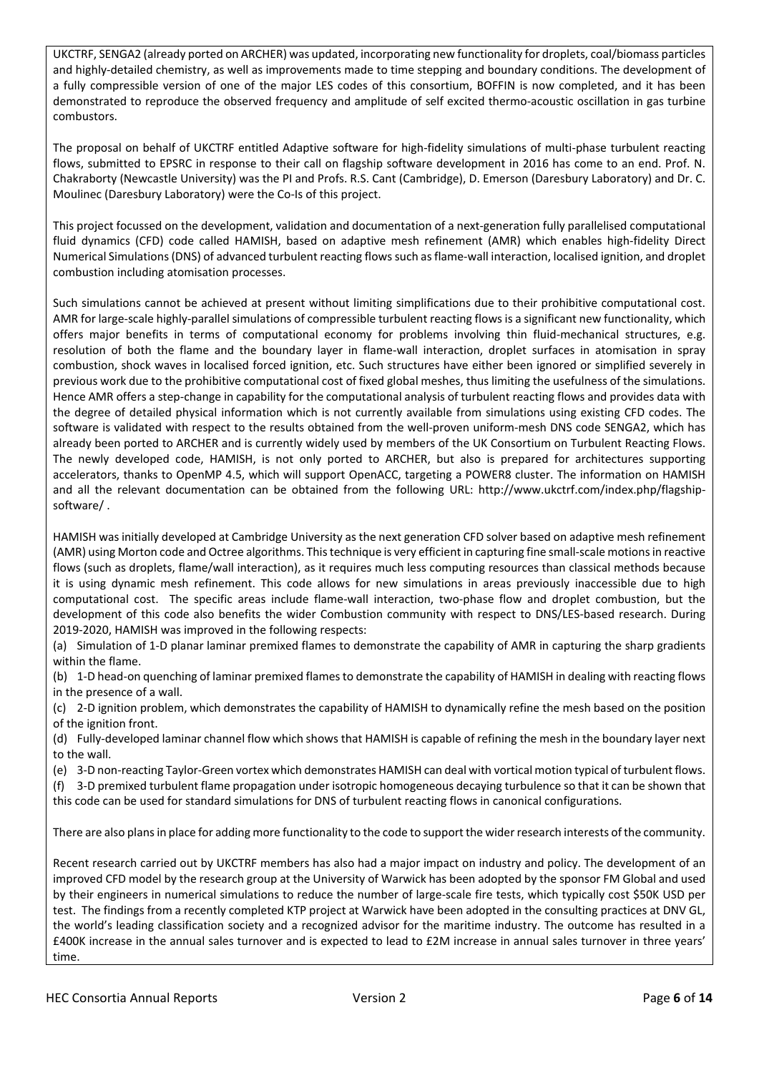UKCTRF, SENGA2 (already ported on ARCHER) was updated, incorporating new functionality for droplets, coal/biomass particles and highly-detailed chemistry, as well as improvements made to time stepping and boundary conditions. The development of a fully compressible version of one of the major LES codes of this consortium, BOFFIN is now completed, and it has been demonstrated to reproduce the observed frequency and amplitude of self excited thermo-acoustic oscillation in gas turbine combustors.

The proposal on behalf of UKCTRF entitled Adaptive software for high-fidelity simulations of multi-phase turbulent reacting flows, submitted to EPSRC in response to their call on flagship software development in 2016 has come to an end. Prof. N. Chakraborty (Newcastle University) was the PI and Profs. R.S. Cant (Cambridge), D. Emerson (Daresbury Laboratory) and Dr. C. Moulinec (Daresbury Laboratory) were the Co-Is of this project.

This project focussed on the development, validation and documentation of a next-generation fully parallelised computational fluid dynamics (CFD) code called HAMISH, based on adaptive mesh refinement (AMR) which enables high-fidelity Direct Numerical Simulations (DNS) of advanced turbulent reacting flows such as flame-wall interaction, localised ignition, and droplet combustion including atomisation processes.

Such simulations cannot be achieved at present without limiting simplifications due to their prohibitive computational cost. AMR for large-scale highly-parallel simulations of compressible turbulent reacting flows is a significant new functionality, which offers major benefits in terms of computational economy for problems involving thin fluid-mechanical structures, e.g. resolution of both the flame and the boundary layer in flame-wall interaction, droplet surfaces in atomisation in spray combustion, shock waves in localised forced ignition, etc. Such structures have either been ignored or simplified severely in previous work due to the prohibitive computational cost of fixed global meshes, thus limiting the usefulness of the simulations. Hence AMR offers a step-change in capability for the computational analysis of turbulent reacting flows and provides data with the degree of detailed physical information which is not currently available from simulations using existing CFD codes. The software is validated with respect to the results obtained from the well-proven uniform-mesh DNS code SENGA2, which has already been ported to ARCHER and is currently widely used by members of the UK Consortium on Turbulent Reacting Flows. The newly developed code, HAMISH, is not only ported to ARCHER, but also is prepared for architectures supporting accelerators, thanks to OpenMP 4.5, which will support OpenACC, targeting a POWER8 cluster. The information on HAMISH and all the relevant documentation can be obtained from the following URL: http://www.ukctrf.com/index.php/flagshipsoftware/ .

HAMISH was initially developed at Cambridge University as the next generation CFD solver based on adaptive mesh refinement (AMR) using Morton code and Octree algorithms. This technique is very efficient in capturing fine small-scale motions in reactive flows (such as droplets, flame/wall interaction), as it requires much less computing resources than classical methods because it is using dynamic mesh refinement. This code allows for new simulations in areas previously inaccessible due to high computational cost. The specific areas include flame-wall interaction, two-phase flow and droplet combustion, but the development of this code also benefits the wider Combustion community with respect to DNS/LES-based research. During 2019-2020, HAMISH was improved in the following respects:

(a) Simulation of 1-D planar laminar premixed flames to demonstrate the capability of AMR in capturing the sharp gradients within the flame.

(b) 1-D head-on quenching of laminar premixed flames to demonstrate the capability of HAMISH in dealing with reacting flows in the presence of a wall.

(c) 2-D ignition problem, which demonstrates the capability of HAMISH to dynamically refine the mesh based on the position of the ignition front.

(d) Fully-developed laminar channel flow which shows that HAMISH is capable of refining the mesh in the boundary layer next to the wall.

(e) 3-D non-reacting Taylor-Green vortex which demonstrates HAMISH can deal with vortical motion typical of turbulent flows.

(f) 3-D premixed turbulent flame propagation under isotropic homogeneous decaying turbulence so that it can be shown that

this code can be used for standard simulations for DNS of turbulent reacting flows in canonical configurations.

There are also plans in place for adding more functionality to the code to support the wider research interests of the community.

Recent research carried out by UKCTRF members has also had a major impact on industry and policy. The development of an improved CFD model by the research group at the University of Warwick has been adopted by the sponsor FM Global and used by their engineers in numerical simulations to reduce the number of large-scale fire tests, which typically cost \$50K USD per test. The findings from a recently completed KTP project at Warwick have been adopted in the consulting practices at DNV GL, the world's leading classification society and a recognized advisor for the maritime industry. The outcome has resulted in a £400K increase in the annual sales turnover and is expected to lead to £2M increase in annual sales turnover in three years' time.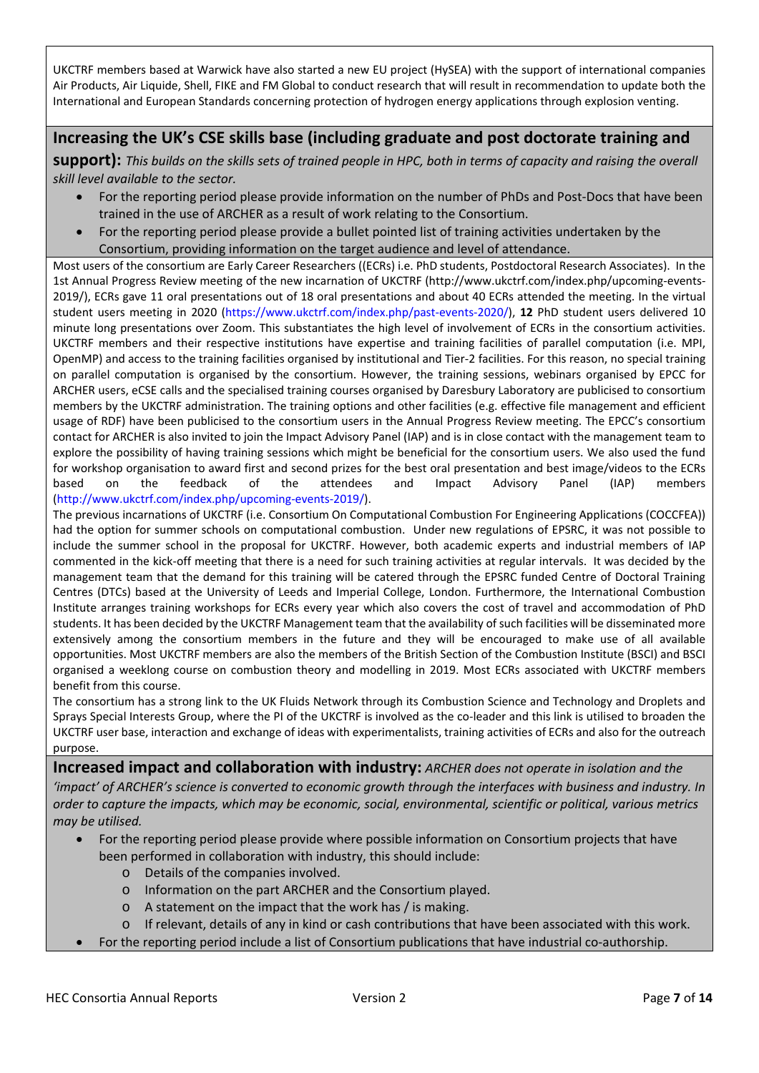UKCTRF members based at Warwick have also started a new EU project (HySEA) with the support of international companies Air Products, Air Liquide, Shell, FIKE and FM Global to conduct research that will result in recommendation to update both the International and European Standards concerning protection of hydrogen energy applications through explosion venting.

# **Increasing the UK's CSE skills base (including graduate and post doctorate training and**

**support):** *This builds on the skills sets of trained people in HPC, both in terms of capacity and raising the overall skill level available to the sector.*

- For the reporting period please provide information on the number of PhDs and Post-Docs that have been trained in the use of ARCHER as a result of work relating to the Consortium.
- For the reporting period please provide a bullet pointed list of training activities undertaken by the Consortium, providing information on the target audience and level of attendance.

Most users of the consortium are Early Career Researchers ((ECRs) i.e. PhD students, Postdoctoral Research Associates). In the 1st Annual Progress Review meeting of the new incarnation of UKCTRF (http://www.ukctrf.com/index.php/upcoming-events-2019/), ECRs gave 11 oral presentations out of 18 oral presentations and about 40 ECRs attended the meeting. In the virtual student users meeting in 2020 [\(https://www.ukctrf.com/index.php/past-events-2020/\)](https://www.ukctrf.com/index.php/past-events-2020/), **12** PhD student users delivered 10 minute long presentations over Zoom. This substantiates the high level of involvement of ECRs in the consortium activities. UKCTRF members and their respective institutions have expertise and training facilities of parallel computation (i.e. MPI, OpenMP) and access to the training facilities organised by institutional and Tier-2 facilities. For this reason, no special training on parallel computation is organised by the consortium. However, the training sessions, webinars organised by EPCC for ARCHER users, eCSE calls and the specialised training courses organised by Daresbury Laboratory are publicised to consortium members by the UKCTRF administration. The training options and other facilities (e.g. effective file management and efficient usage of RDF) have been publicised to the consortium users in the Annual Progress Review meeting. The EPCC's consortium contact for ARCHER is also invited to join the Impact Advisory Panel (IAP) and is in close contact with the management team to explore the possibility of having training sessions which might be beneficial for the consortium users. We also used the fund for workshop organisation to award first and second prizes for the best oral presentation and best image/videos to the ECRs based on the feedback of the attendees and Impact Advisory Panel (IAP) members [\(http://www.ukctrf.com/index.php/upcoming-events-2019/\)](http://www.ukctrf.com/index.php/upcoming-events-2019/).

The previous incarnations of UKCTRF (i.e. Consortium On Computational Combustion For Engineering Applications (COCCFEA)) had the option for summer schools on computational combustion. Under new regulations of EPSRC, it was not possible to include the summer school in the proposal for UKCTRF. However, both academic experts and industrial members of IAP commented in the kick-off meeting that there is a need for such training activities at regular intervals. It was decided by the management team that the demand for this training will be catered through the EPSRC funded Centre of Doctoral Training Centres (DTCs) based at the University of Leeds and Imperial College, London. Furthermore, the International Combustion Institute arranges training workshops for ECRs every year which also covers the cost of travel and accommodation of PhD students. It has been decided by the UKCTRF Management team that the availability of such facilities will be disseminated more extensively among the consortium members in the future and they will be encouraged to make use of all available opportunities. Most UKCTRF members are also the members of the British Section of the Combustion Institute (BSCI) and BSCI organised a weeklong course on combustion theory and modelling in 2019. Most ECRs associated with UKCTRF members benefit from this course.

The consortium has a strong link to the UK Fluids Network through its Combustion Science and Technology and Droplets and Sprays Special Interests Group, where the PI of the UKCTRF is involved as the co-leader and this link is utilised to broaden the UKCTRF user base, interaction and exchange of ideas with experimentalists, training activities of ECRs and also for the outreach purpose.

**Increased impact and collaboration with industry:** *ARCHER does not operate in isolation and the 'impact' of ARCHER's science is converted to economic growth through the interfaces with business and industry. In order to capture the impacts, which may be economic, social, environmental, scientific or political, various metrics may be utilised.* 

- For the reporting period please provide where possible information on Consortium projects that have been performed in collaboration with industry, this should include:
	- o Details of the companies involved.
	- o Information on the part ARCHER and the Consortium played.
	- o A statement on the impact that the work has / is making.
	- o If relevant, details of any in kind or cash contributions that have been associated with this work.
	- For the reporting period include a list of Consortium publications that have industrial co-authorship.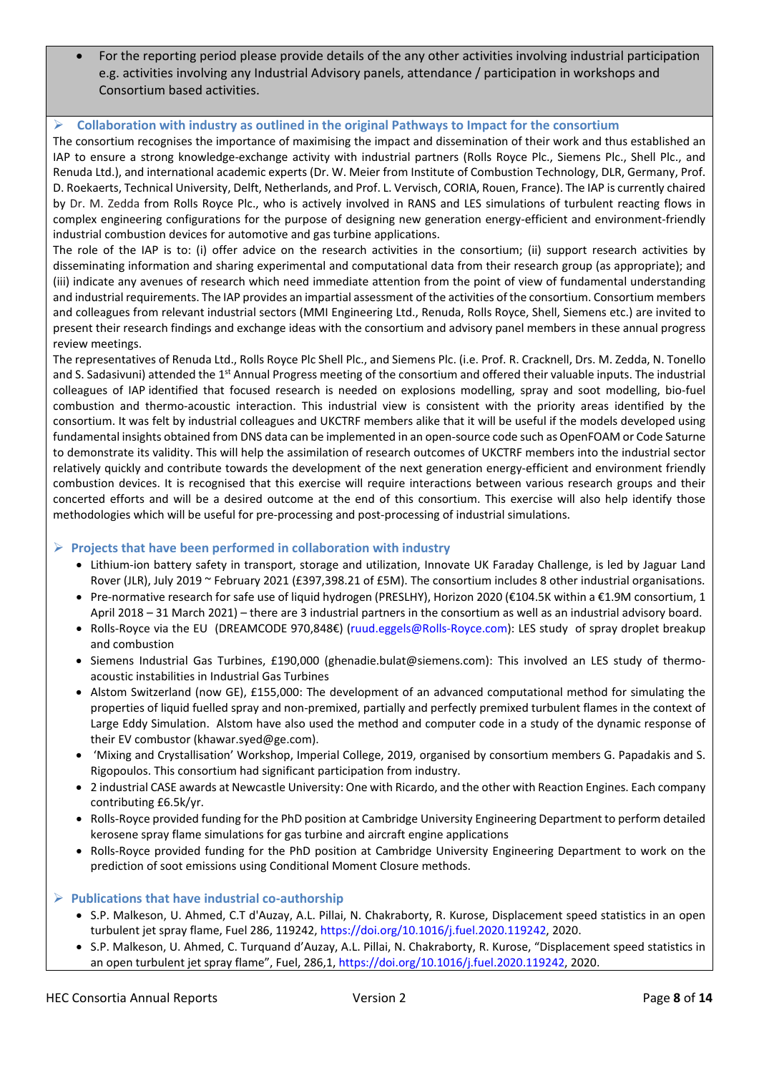• For the reporting period please provide details of the any other activities involving industrial participation e.g. activities involving any Industrial Advisory panels, attendance / participation in workshops and Consortium based activities.

#### **Collaboration with industry as outlined in the original Pathways to Impact for the consortium**

The consortium recognises the importance of maximising the impact and dissemination of their work and thus established an IAP to ensure a strong knowledge-exchange activity with industrial partners (Rolls Royce Plc., Siemens Plc., Shell Plc., and Renuda Ltd.), and international academic experts (Dr. W. Meier from Institute of Combustion Technology, DLR, Germany, Prof. D. Roekaerts, Technical University, Delft, Netherlands, and Prof. L. Vervisch, CORIA, Rouen, France). The IAP is currently chaired by Dr. M. Zedda from Rolls Royce Plc., who is actively involved in RANS and LES simulations of turbulent reacting flows in complex engineering configurations for the purpose of designing new generation energy-efficient and environment-friendly industrial combustion devices for automotive and gas turbine applications.

The role of the IAP is to: (i) offer advice on the research activities in the consortium; (ii) support research activities by disseminating information and sharing experimental and computational data from their research group (as appropriate); and (iii) indicate any avenues of research which need immediate attention from the point of view of fundamental understanding and industrial requirements. The IAP provides an impartial assessment of the activities of the consortium. Consortium members and colleagues from relevant industrial sectors (MMI Engineering Ltd., Renuda, Rolls Royce, Shell, Siemens etc.) are invited to present their research findings and exchange ideas with the consortium and advisory panel members in these annual progress review meetings.

The representatives of Renuda Ltd., Rolls Royce Plc Shell Plc., and Siemens Plc. (i.e. Prof. R. Cracknell, Drs. M. Zedda, N. Tonello and S. Sadasivuni) attended the 1<sup>st</sup> Annual Progress meeting of the consortium and offered their valuable inputs. The industrial colleagues of IAP identified that focused research is needed on explosions modelling, spray and soot modelling, bio-fuel combustion and thermo-acoustic interaction. This industrial view is consistent with the priority areas identified by the consortium. It was felt by industrial colleagues and UKCTRF members alike that it will be useful if the models developed using fundamental insights obtained from DNS data can be implemented in an open-source code such as OpenFOAM or Code Saturne to demonstrate its validity. This will help the assimilation of research outcomes of UKCTRF members into the industrial sector relatively quickly and contribute towards the development of the next generation energy-efficient and environment friendly combustion devices. It is recognised that this exercise will require interactions between various research groups and their concerted efforts and will be a desired outcome at the end of this consortium. This exercise will also help identify those methodologies which will be useful for pre-processing and post-processing of industrial simulations.

#### **Projects that have been performed in collaboration with industry**

- Lithium-ion battery safety in transport, storage and utilization, Innovate UK Faraday Challenge, is led by Jaguar Land Rover (JLR), July 2019 ~ February 2021 (£397,398.21 of £5M). The consortium includes 8 other industrial organisations.
- Pre-normative research for safe use of liquid hydrogen (PRESLHY), Horizon 2020 (€104.5K within a €1.9M consortium, 1 April 2018 – 31 March 2021) – there are 3 industrial partners in the consortium as well as an industrial advisory board.
- Rolls-Royce via the EU (DREAMCODE 970,848€) [\(ruud.eggels@Rolls-Royce.com\)](mailto:ruud.eggels@Rolls-Royce.com): LES study of spray droplet breakup and combustion
- Siemens Industrial Gas Turbines, £190,000 (ghenadie.bulat@siemens.com): This involved an LES study of thermoacoustic instabilities in Industrial Gas Turbines
- Alstom Switzerland (now GE), £155,000: The development of an advanced computational method for simulating the properties of liquid fuelled spray and non-premixed, partially and perfectly premixed turbulent flames in the context of Large Eddy Simulation. Alstom have also used the method and computer code in a study of the dynamic response of their EV combustor (khawar.syed@ge.com).
- 'Mixing and Crystallisation' Workshop, Imperial College, 2019, organised by consortium members G. Papadakis and S. Rigopoulos. This consortium had significant participation from industry.
- 2 industrial CASE awards at Newcastle University: One with Ricardo, and the other with Reaction Engines. Each company contributing £6.5k/yr.
- Rolls-Royce provided funding for the PhD position at Cambridge University Engineering Department to perform detailed kerosene spray flame simulations for gas turbine and aircraft engine applications
- Rolls-Royce provided funding for the PhD position at Cambridge University Engineering Department to work on the prediction of soot emissions using Conditional Moment Closure methods.

#### **Publications that have industrial co-authorship**

- S.P. Malkeson, U. Ahmed, C.T d'Auzay, A.L. Pillai, N. Chakraborty, R. Kurose, Displacement speed statistics in an open turbulent jet spray flame, Fuel 286, 119242[, https://doi.org/10.1016/j.fuel.2020.119242,](https://doi.org/10.1016/j.fuel.2020.119242) 2020.
- S.P. Malkeson, U. Ahmed, C. Turquand d'Auzay, A.L. Pillai, N. Chakraborty, R. Kurose, "Displacement speed statistics in an open turbulent jet spray flame", Fuel, 286,1, [https://doi.org/10.1016/j.fuel.2020.119242,](https://doi.org/10.1016/j.fuel.2020.119242) 2020.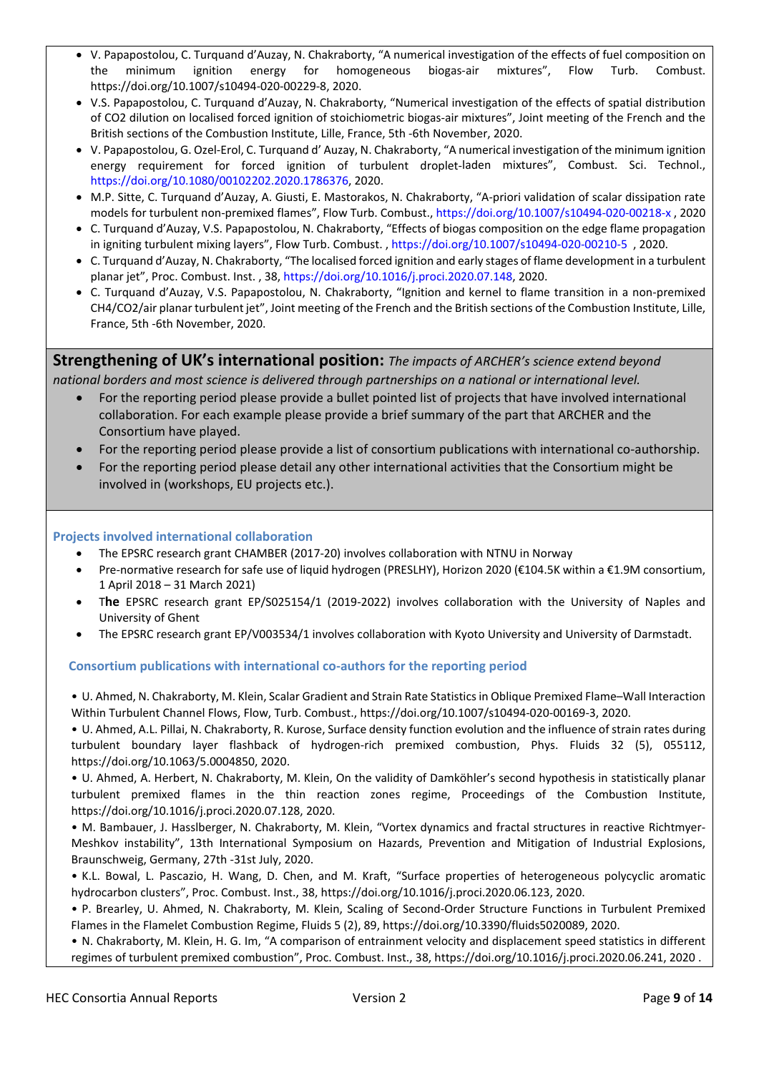- V. Papapostolou, C. Turquand d'Auzay, N. Chakraborty, "A numerical investigation of the effects of fuel composition on the minimum ignition energy for homogeneous biogas-air mixtures", Flow Turb. Combust. https://doi.org/10.1007/s10494-020-00229-8, 2020.
- V.S. Papapostolou, C. Turquand d'Auzay, N. Chakraborty, "Numerical investigation of the effects of spatial distribution of CO2 dilution on localised forced ignition of stoichiometric biogas-air mixtures", Joint meeting of the French and the British sections of the Combustion Institute, Lille, France, 5th -6th November, 2020.
- V. Papapostolou, G. Ozel-Erol, C. Turquand d' Auzay, N. Chakraborty, "A numerical investigation of the minimum ignition energy requirement for forced ignition of turbulent droplet-laden mixtures", Combust. Sci. Technol., [https://doi.org/10.1080/00102202.2020.1786376,](https://doi.org/10.1080/00102202.2020.1786376) 2020.
- M.P. Sitte, C. Turquand d'Auzay, A. Giusti, E. Mastorakos, N. Chakraborty, "A-priori validation of scalar dissipation rate models for turbulent non-premixed flames", Flow Turb. Combust.,<https://doi.org/10.1007/s10494-020-00218-x> , 2020
- C. Turquand d'Auzay, V.S. Papapostolou, N. Chakraborty, "Effects of biogas composition on the edge flame propagation in igniting turbulent mixing layers", Flow Turb. Combust. [, https://doi.org/10.1007/s10494-020-00210-5](https://doi.org/10.1007/s10494-020-00210-5) , 2020.
- C. Turquand d'Auzay, N. Chakraborty, "The localised forced ignition and early stages of flame development in a turbulent planar jet", Proc. Combust. Inst. , 38[, https://doi.org/10.1016/j.proci.2020.07.148,](https://doi.org/10.1016/j.proci.2020.07.148) 2020.
- C. Turquand d'Auzay, V.S. Papapostolou, N. Chakraborty, "Ignition and kernel to flame transition in a non-premixed CH4/CO2/air planar turbulent jet", Joint meeting of the French and the British sections of the Combustion Institute, Lille, France, 5th -6th November, 2020.

**Strengthening of UK's international position:** *The impacts of ARCHER's science extend beyond national borders and most science is delivered through partnerships on a national or international level.*

- For the reporting period please provide a bullet pointed list of projects that have involved international collaboration. For each example please provide a brief summary of the part that ARCHER and the Consortium have played.
- For the reporting period please provide a list of consortium publications with international co-authorship.
- For the reporting period please detail any other international activities that the Consortium might be involved in (workshops, EU projects etc.).

#### **Projects involved international collaboration**

- The EPSRC research grant CHAMBER (2017-20) involves collaboration with NTNU in Norway
- Pre-normative research for safe use of liquid hydrogen (PRESLHY), Horizon 2020 (€104.5K within a €1.9M consortium, 1 April 2018 – 31 March 2021)
- T**he** EPSRC research grant EP/S025154/1 (2019-2022) involves collaboration with the University of Naples and University of Ghent
- The EPSRC research grant EP/V003534/1 involves collaboration with Kyoto University and University of Darmstadt.

#### **Consortium publications with international co-authors for the reporting period**

• U. Ahmed, N. Chakraborty, M. Klein, Scalar Gradient and Strain Rate Statistics in Oblique Premixed Flame–Wall Interaction Within Turbulent Channel Flows, Flow, Turb. Combust., https://doi.org/10.1007/s10494-020-00169-3, 2020.

• U. Ahmed, A.L. Pillai, N. Chakraborty, R. Kurose, Surface density function evolution and the influence of strain rates during turbulent boundary layer flashback of hydrogen-rich premixed combustion, Phys. Fluids 32 (5), 055112, https://doi.org/10.1063/5.0004850, 2020.

• U. Ahmed, A. Herbert, N. Chakraborty, M. Klein, On the validity of Damköhler's second hypothesis in statistically planar turbulent premixed flames in the thin reaction zones regime, Proceedings of the Combustion Institute, https://doi.org/10.1016/j.proci.2020.07.128, 2020.

• M. Bambauer, J. Hasslberger, N. Chakraborty, M. Klein, "Vortex dynamics and fractal structures in reactive Richtmyer-Meshkov instability", 13th International Symposium on Hazards, Prevention and Mitigation of Industrial Explosions, Braunschweig, Germany, 27th -31st July, 2020.

• K.L. Bowal, L. Pascazio, H. Wang, D. Chen, and M. Kraft, "Surface properties of heterogeneous polycyclic aromatic hydrocarbon clusters", Proc. Combust. Inst., 38, https://doi.org/10.1016/j.proci.2020.06.123, 2020.

• P. Brearley, U. Ahmed, N. Chakraborty, M. Klein, Scaling of Second-Order Structure Functions in Turbulent Premixed Flames in the Flamelet Combustion Regime, Fluids 5 (2), 89, https://doi.org/10.3390/fluids5020089, 2020.

• N. Chakraborty, M. Klein, H. G. Im, "A comparison of entrainment velocity and displacement speed statistics in different regimes of turbulent premixed combustion", Proc. Combust. Inst., 38, https://doi.org/10.1016/j.proci.2020.06.241, 2020 .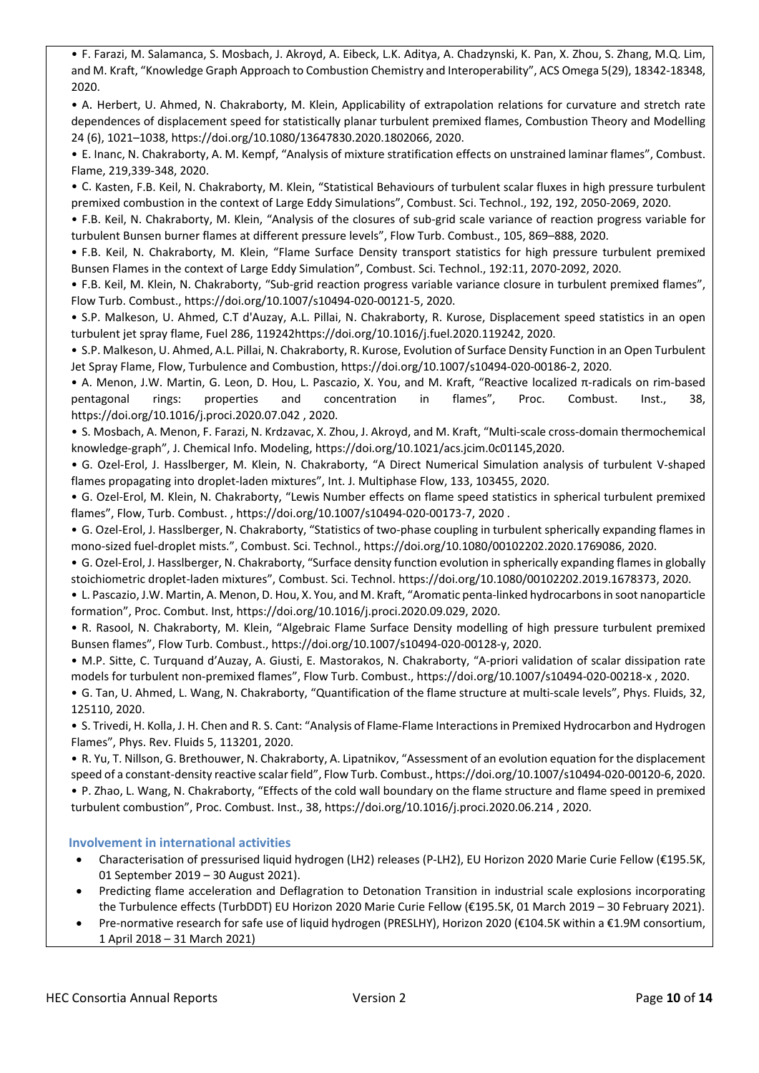• F. Farazi, M. Salamanca, S. Mosbach, J. Akroyd, A. Eibeck, L.K. Aditya, A. Chadzynski, K. Pan, X. Zhou, S. Zhang, M.Q. Lim, and M. Kraft, "Knowledge Graph Approach to Combustion Chemistry and Interoperability", ACS Omega 5(29), 18342-18348, 2020.

• A. Herbert, U. Ahmed, N. Chakraborty, M. Klein, Applicability of extrapolation relations for curvature and stretch rate dependences of displacement speed for statistically planar turbulent premixed flames, Combustion Theory and Modelling 24 (6), 1021–1038, https://doi.org/10.1080/13647830.2020.1802066, 2020.

• E. Inanc, N. Chakraborty, A. M. Kempf, "Analysis of mixture stratification effects on unstrained laminar flames", Combust. Flame, 219,339-348, 2020.

• C. Kasten, F.B. Keil, N. Chakraborty, M. Klein, "Statistical Behaviours of turbulent scalar fluxes in high pressure turbulent premixed combustion in the context of Large Eddy Simulations", Combust. Sci. Technol., 192, 192, 2050-2069, 2020.

• F.B. Keil, N. Chakraborty, M. Klein, "Analysis of the closures of sub-grid scale variance of reaction progress variable for turbulent Bunsen burner flames at different pressure levels", Flow Turb. Combust., 105, 869–888, 2020.

• F.B. Keil, N. Chakraborty, M. Klein, "Flame Surface Density transport statistics for high pressure turbulent premixed Bunsen Flames in the context of Large Eddy Simulation", Combust. Sci. Technol., 192:11, 2070-2092, 2020.

• F.B. Keil, M. Klein, N. Chakraborty, "Sub-grid reaction progress variable variance closure in turbulent premixed flames", Flow Turb. Combust., https://doi.org/10.1007/s10494-020-00121-5, 2020.

• S.P. Malkeson, U. Ahmed, C.T d'Auzay, A.L. Pillai, N. Chakraborty, R. Kurose, Displacement speed statistics in an open turbulent jet spray flame, Fuel 286, 119242https://doi.org/10.1016/j.fuel.2020.119242, 2020.

• S.P. Malkeson, U. Ahmed, A.L. Pillai, N. Chakraborty, R. Kurose, Evolution of Surface Density Function in an Open Turbulent Jet Spray Flame, Flow, Turbulence and Combustion, https://doi.org/10.1007/s10494-020-00186-2, 2020.

• A. Menon, J.W. Martin, G. Leon, D. Hou, L. Pascazio, X. You, and M. Kraft, "Reactive localized π-radicals on rim-based pentagonal rings: properties and concentration in flames", Proc. Combust. Inst., 38, https://doi.org/10.1016/j.proci.2020.07.042 , 2020.

• S. Mosbach, A. Menon, F. Farazi, N. Krdzavac, X. Zhou, J. Akroyd, and M. Kraft, "Multi-scale cross-domain thermochemical knowledge-graph", J. Chemical Info. Modeling, https://doi.org/10.1021/acs.jcim.0c01145,2020.

• G. Ozel-Erol, J. Hasslberger, M. Klein, N. Chakraborty, "A Direct Numerical Simulation analysis of turbulent V-shaped flames propagating into droplet-laden mixtures", Int. J. Multiphase Flow, 133, 103455, 2020.

• G. Ozel-Erol, M. Klein, N. Chakraborty, "Lewis Number effects on flame speed statistics in spherical turbulent premixed flames", Flow, Turb. Combust. , https://doi.org/10.1007/s10494-020-00173-7, 2020 .

• G. Ozel-Erol, J. Hasslberger, N. Chakraborty, "Statistics of two-phase coupling in turbulent spherically expanding flames in mono-sized fuel-droplet mists.", Combust. Sci. Technol., https://doi.org/10.1080/00102202.2020.1769086, 2020.

• G. Ozel-Erol, J. Hasslberger, N. Chakraborty, "Surface density function evolution in spherically expanding flames in globally stoichiometric droplet-laden mixtures", Combust. Sci. Technol. https://doi.org/10.1080/00102202.2019.1678373, 2020.

• L. Pascazio, J.W. Martin, A. Menon, D. Hou, X. You, and M. Kraft, "Aromatic penta-linked hydrocarbons in soot nanoparticle formation", Proc. Combut. Inst, https://doi.org/10.1016/j.proci.2020.09.029, 2020.

• R. Rasool, N. Chakraborty, M. Klein, "Algebraic Flame Surface Density modelling of high pressure turbulent premixed Bunsen flames", Flow Turb. Combust., https://doi.org/10.1007/s10494-020-00128-y, 2020.

• M.P. Sitte, C. Turquand d'Auzay, A. Giusti, E. Mastorakos, N. Chakraborty, "A-priori validation of scalar dissipation rate models for turbulent non-premixed flames", Flow Turb. Combust., https://doi.org/10.1007/s10494-020-00218-x , 2020.

• G. Tan, U. Ahmed, L. Wang, N. Chakraborty, "Quantification of the flame structure at multi-scale levels", Phys. Fluids, 32, 125110, 2020.

• S. Trivedi, H. Kolla, J. H. Chen and R. S. Cant: "Analysis of Flame-Flame Interactions in Premixed Hydrocarbon and Hydrogen Flames", Phys. Rev. Fluids 5, 113201, 2020.

• R. Yu, T. Nillson, G. Brethouwer, N. Chakraborty, A. Lipatnikov, "Assessment of an evolution equation for the displacement speed of a constant-density reactive scalar field", Flow Turb. Combust., https://doi.org/10.1007/s10494-020-00120-6, 2020. • P. Zhao, L. Wang, N. Chakraborty, "Effects of the cold wall boundary on the flame structure and flame speed in premixed

turbulent combustion", Proc. Combust. Inst., 38, https://doi.org/10.1016/j.proci.2020.06.214 , 2020.

 **Involvement in international activities**

- Characterisation of pressurised liquid hydrogen (LH2) releases (P-LH2), EU Horizon 2020 Marie Curie Fellow (€195.5K, 01 September 2019 – 30 August 2021).
- Predicting flame acceleration and Deflagration to Detonation Transition in industrial scale explosions incorporating the Turbulence effects (TurbDDT) EU Horizon 2020 Marie Curie Fellow (€195.5K, 01 March 2019 – 30 February 2021).
- Pre-normative research for safe use of liquid hydrogen (PRESLHY), Horizon 2020 (€104.5K within a €1.9M consortium, 1 April 2018 – 31 March 2021)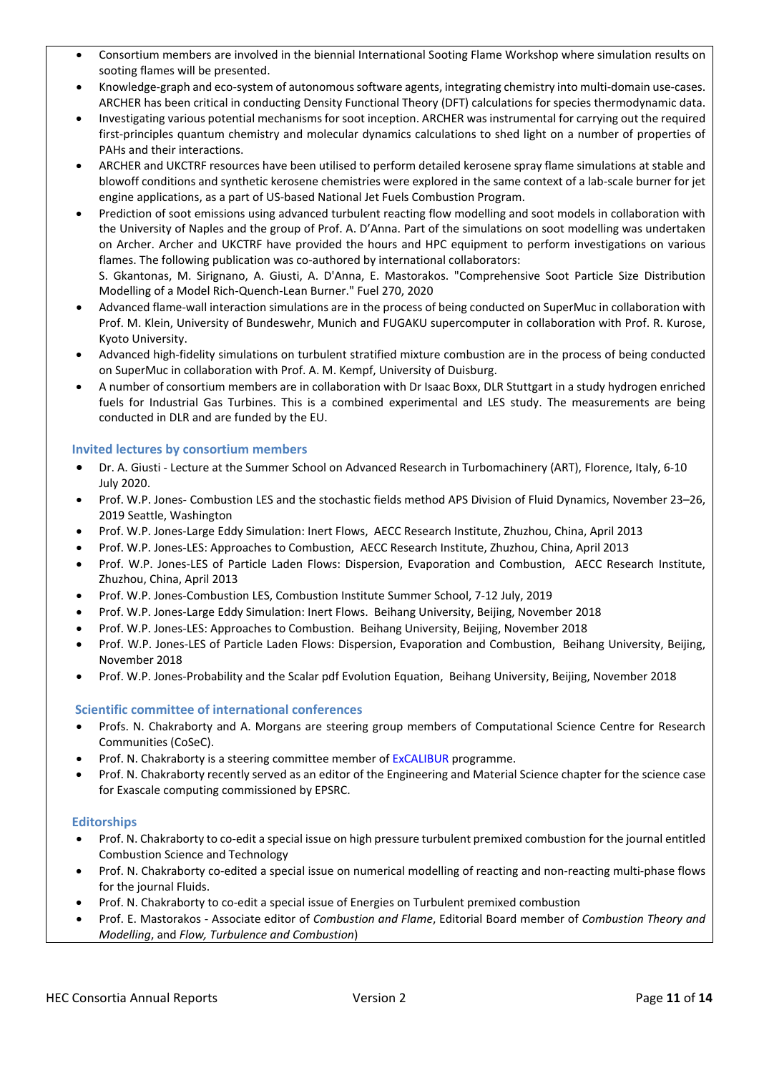- Consortium members are involved in the biennial International Sooting Flame Workshop where simulation results on sooting flames will be presented.
- Knowledge-graph and eco-system of autonomous software agents, integrating chemistry into multi-domain use-cases. ARCHER has been critical in conducting Density Functional Theory (DFT) calculations for species thermodynamic data.
- Investigating various potential mechanisms for soot inception. ARCHER was instrumental for carrying out the required first-principles quantum chemistry and molecular dynamics calculations to shed light on a number of properties of PAHs and their interactions.
- ARCHER and UKCTRF resources have been utilised to perform detailed kerosene spray flame simulations at stable and blowoff conditions and synthetic kerosene chemistries were explored in the same context of a lab-scale burner for jet engine applications, as a part of US-based National Jet Fuels Combustion Program.
- Prediction of soot emissions using advanced turbulent reacting flow modelling and soot models in collaboration with the University of Naples and the group of Prof. A. D'Anna. Part of the simulations on soot modelling was undertaken on Archer. Archer and UKCTRF have provided the hours and HPC equipment to perform investigations on various flames. The following publication was co-authored by international collaborators: S. Gkantonas, M. Sirignano, A. Giusti, A. D'Anna, E. Mastorakos. "Comprehensive Soot Particle Size Distribution
- Modelling of a Model Rich-Quench-Lean Burner." Fuel 270, 2020 • Advanced flame-wall interaction simulations are in the process of being conducted on SuperMuc in collaboration with Prof. M. Klein, University of Bundeswehr, Munich and FUGAKU supercomputer in collaboration with Prof. R. Kurose, Kyoto University.
- Advanced high-fidelity simulations on turbulent stratified mixture combustion are in the process of being conducted on SuperMuc in collaboration with Prof. A. M. Kempf, University of Duisburg.
- A number of consortium members are in collaboration with Dr Isaac Boxx, DLR Stuttgart in a study hydrogen enriched fuels for Industrial Gas Turbines. This is a combined experimental and LES study. The measurements are being conducted in DLR and are funded by the EU.

# **Invited lectures by consortium members**

- Dr. A. Giusti Lecture at the Summer School on Advanced Research in Turbomachinery (ART), Florence, Italy, 6-10 July 2020.
- Prof. W.P. Jones- Combustion LES and the stochastic fields method APS Division of Fluid Dynamics, November 23–26, 2019 Seattle, Washington
- Prof. W.P. Jones-Large Eddy Simulation: Inert Flows, AECC Research Institute, Zhuzhou, China, April 2013
- Prof. W.P. Jones-LES: Approaches to Combustion, AECC Research Institute, Zhuzhou, China, April 2013
- Prof. W.P. Jones-LES of Particle Laden Flows: Dispersion, Evaporation and Combustion, AECC Research Institute, Zhuzhou, China, April 2013
- Prof. W.P. Jones-Combustion LES, Combustion Institute Summer School, 7-12 July, 2019
- Prof. W.P. Jones-Large Eddy Simulation: Inert Flows. Beihang University, Beijing, November 2018
- Prof. W.P. Jones-LES: Approaches to Combustion. Beihang University, Beijing, November 2018
- Prof. W.P. Jones-LES of Particle Laden Flows: Dispersion, Evaporation and Combustion, Beihang University, Beijing, November 2018
- Prof. W.P. Jones-Probability and the Scalar pdf Evolution Equation, Beihang University, Beijing, November 2018

# **Scientific committee of international conferences**

- Profs. N. Chakraborty and A. Morgans are steering group members of Computational Science Centre for Research Communities (CoSeC).
- Prof. N. Chakraborty is a steering committee member of [ExCALIBUR](https://www.metoffice.gov.uk/research/approach/collaboration/spf/excalibur) programme.
- Prof. N. Chakraborty recently served as an editor of the Engineering and Material Science chapter for the science case for Exascale computing commissioned by EPSRC.

#### **Editorships**

- Prof. N. Chakraborty to co-edit a special issue on high pressure turbulent premixed combustion for the journal entitled Combustion Science and Technology
- Prof. N. Chakraborty co-edited a special issue on numerical modelling of reacting and non-reacting multi-phase flows for the journal Fluids.
- Prof. N. Chakraborty to co-edit a special issue of Energies on Turbulent premixed combustion
- Prof. E. Mastorakos Associate editor of *Combustion and Flame*, Editorial Board member of *Combustion Theory and Modelling*, and *Flow, Turbulence and Combustion*)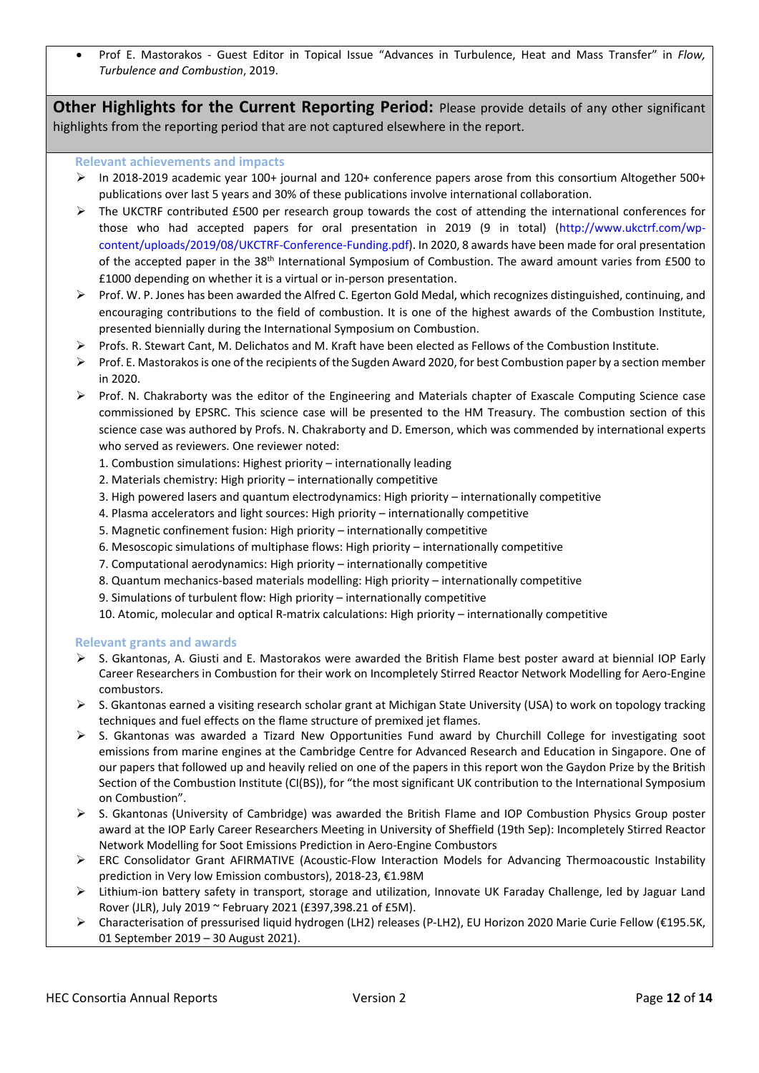• Prof E. Mastorakos - Guest Editor in Topical Issue "Advances in Turbulence, Heat and Mass Transfer" in *Flow, Turbulence and Combustion*, 2019.

**Other Highlights for the Current Reporting Period:** Please provide details of any other significant highlights from the reporting period that are not captured elsewhere in the report.

#### **Relevant achievements and impacts**

- In 2018-2019 academic year 100+ journal and 120+ conference papers arose from this consortium Altogether 500+ publications over last 5 years and 30% of these publications involve international collaboration.
- $\triangleright$  The UKCTRF contributed £500 per research group towards the cost of attending the international conferences for those who had accepted papers for oral presentation in 2019 (9 in total) [\(http://www.ukctrf.com/wp](http://www.ukctrf.com/wp-content/uploads/2019/08/UKCTRF-Conference-Funding.pdf)[content/uploads/2019/08/UKCTRF-Conference-Funding.pdf\)](http://www.ukctrf.com/wp-content/uploads/2019/08/UKCTRF-Conference-Funding.pdf). In 2020, 8 awards have been made for oral presentation of the accepted paper in the 38th International Symposium of Combustion. The award amount varies from £500 to £1000 depending on whether it is a virtual or in-person presentation.
- $\triangleright$  Prof. W. P. Jones has been awarded the Alfred C. Egerton Gold Medal, which recognizes distinguished, continuing, and encouraging contributions to the field of combustion. It is one of the highest awards of the Combustion Institute, presented biennially during the International Symposium on Combustion.
- Profs. R. Stewart Cant, M. Delichatos and M. Kraft have been elected as Fellows of the Combustion Institute.
- Prof. E. Mastorakos is one of the recipients of the Sugden Award 2020, for best Combustion paper by a section member in 2020.
- $\triangleright$  Prof. N. Chakraborty was the editor of the Engineering and Materials chapter of Exascale Computing Science case commissioned by EPSRC. This science case will be presented to the HM Treasury. The combustion section of this science case was authored by Profs. N. Chakraborty and D. Emerson, which was commended by international experts who served as reviewers. One reviewer noted:
	- 1. Combustion simulations: Highest priority internationally leading
	- 2. Materials chemistry: High priority internationally competitive
	- 3. High powered lasers and quantum electrodynamics: High priority internationally competitive
	- 4. Plasma accelerators and light sources: High priority internationally competitive
	- 5. Magnetic confinement fusion: High priority internationally competitive
	- 6. Mesoscopic simulations of multiphase flows: High priority internationally competitive
	- 7. Computational aerodynamics: High priority internationally competitive
	- 8. Quantum mechanics-based materials modelling: High priority internationally competitive
	- 9. Simulations of turbulent flow: High priority internationally competitive

10. Atomic, molecular and optical R-matrix calculations: High priority – internationally competitive

#### **Relevant grants and awards**

- $\triangleright$  S. Gkantonas, A. Giusti and E. Mastorakos were awarded the British Flame best poster award at biennial IOP Early Career Researchers in Combustion for their work on Incompletely Stirred Reactor Network Modelling for Aero-Engine combustors.
- $\triangleright$  S. Gkantonas earned a visiting research scholar grant at Michigan State University (USA) to work on topology tracking techniques and fuel effects on the flame structure of premixed jet flames.
- $\triangleright$  S. Gkantonas was awarded a Tizard New Opportunities Fund award by Churchill College for investigating soot emissions from marine engines at the Cambridge Centre for Advanced Research and Education in Singapore. One of our papers that followed up and heavily relied on one of the papers in this report won the Gaydon Prize by the British Section of the Combustion Institute (CI(BS)), for "the most significant UK contribution to the International Symposium on Combustion".
- $\triangleright$  S. Gkantonas (University of Cambridge) was awarded the British Flame and IOP Combustion Physics Group poster award at the IOP Early Career Researchers Meeting in University of Sheffield (19th Sep): Incompletely Stirred Reactor Network Modelling for Soot Emissions Prediction in Aero-Engine Combustors
- ERC Consolidator Grant AFIRMATIVE (Acoustic-Flow Interaction Models for Advancing Thermoacoustic Instability prediction in Very low Emission combustors), 2018-23, €1.98M
- Lithium-ion battery safety in transport, storage and utilization, Innovate UK Faraday Challenge, led by Jaguar Land Rover (JLR), July 2019 ~ February 2021 (£397,398.21 of £5M).
- Characterisation of pressurised liquid hydrogen (LH2) releases (P-LH2), EU Horizon 2020 Marie Curie Fellow (€195.5K, 01 September 2019 – 30 August 2021).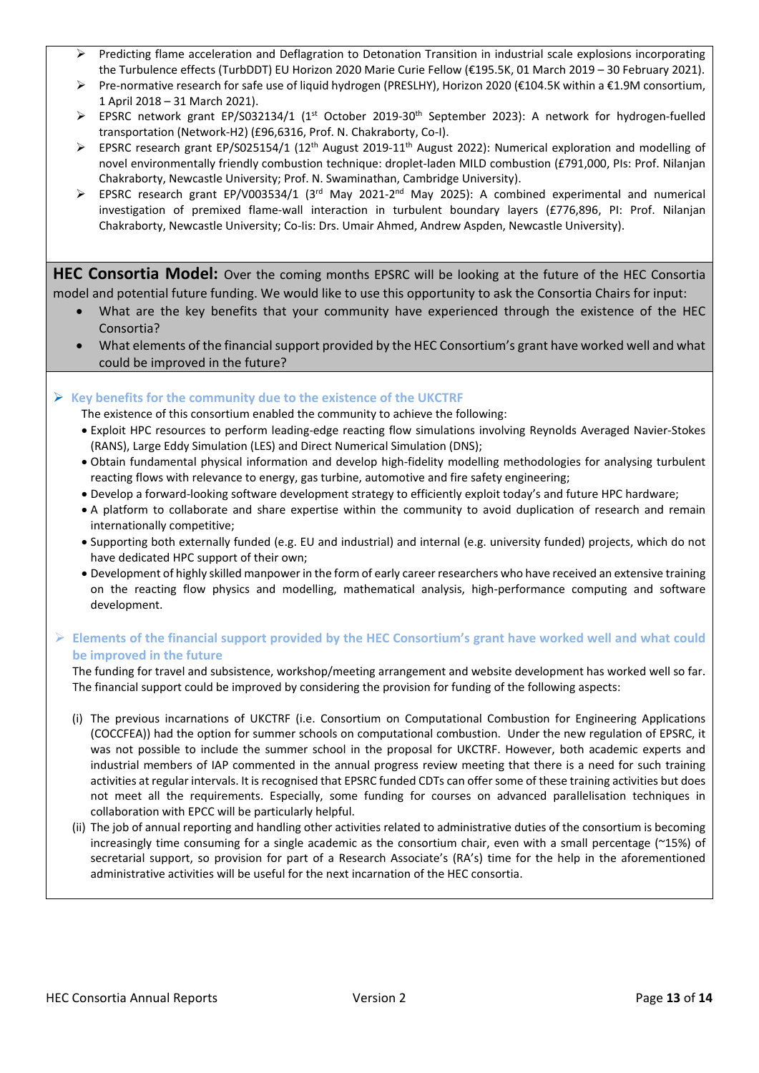- Predicting flame acceleration and Deflagration to Detonation Transition in industrial scale explosions incorporating the Turbulence effects (TurbDDT) EU Horizon 2020 Marie Curie Fellow (€195.5K, 01 March 2019 – 30 February 2021).
- Pre-normative research for safe use of liquid hydrogen (PRESLHY), Horizon 2020 (€104.5K within a €1.9M consortium, 1 April 2018 – 31 March 2021).
- EPSRC network grant EP/S032134/1 (1<sup>st</sup> October 2019-30<sup>th</sup> September 2023): A network for hydrogen-fuelled transportation (Network-H2) (£96,6316, Prof. N. Chakraborty, Co-I).
- ▶ EPSRC research grant EP/S025154/1 (12<sup>th</sup> August 2019-11<sup>th</sup> August 2022): Numerical exploration and modelling of novel environmentally friendly combustion technique: droplet-laden MILD combustion (£791,000, PIs: Prof. Nilanjan Chakraborty, Newcastle University; Prof. N. Swaminathan, Cambridge University).
- EPSRC research grant EP/V003534/1 (3<sup>rd</sup> May 2021-2<sup>nd</sup> May 2025): A combined experimental and numerical investigation of premixed flame-wall interaction in turbulent boundary layers (£776,896, PI: Prof. Nilanjan Chakraborty, Newcastle University; Co-Iis: Drs. Umair Ahmed, Andrew Aspden, Newcastle University).

**HEC Consortia Model:** Over the coming months EPSRC will be looking at the future of the HEC Consortia model and potential future funding. We would like to use this opportunity to ask the Consortia Chairs for input:

- What are the key benefits that your community have experienced through the existence of the HEC Consortia?
- What elements of the financial support provided by the HEC Consortium's grant have worked well and what could be improved in the future?

#### **Key benefits for the community due to the existence of the UKCTRF**

The existence of this consortium enabled the community to achieve the following:

- Exploit HPC resources to perform leading-edge reacting flow simulations involving Reynolds Averaged Navier-Stokes (RANS), Large Eddy Simulation (LES) and Direct Numerical Simulation (DNS);
- Obtain fundamental physical information and develop high-fidelity modelling methodologies for analysing turbulent reacting flows with relevance to energy, gas turbine, automotive and fire safety engineering;
- Develop a forward-looking software development strategy to efficiently exploit today's and future HPC hardware;
- A platform to collaborate and share expertise within the community to avoid duplication of research and remain internationally competitive;
- Supporting both externally funded (e.g. EU and industrial) and internal (e.g. university funded) projects, which do not have dedicated HPC support of their own;
- Development of highly skilled manpower in the form of early career researchers who have received an extensive training on the reacting flow physics and modelling, mathematical analysis, high-performance computing and software development.

## **Elements of the financial support provided by the HEC Consortium's grant have worked well and what could be improved in the future**

The funding for travel and subsistence, workshop/meeting arrangement and website development has worked well so far. The financial support could be improved by considering the provision for funding of the following aspects:

- (i) The previous incarnations of UKCTRF (i.e. Consortium on Computational Combustion for Engineering Applications (COCCFEA)) had the option for summer schools on computational combustion. Under the new regulation of EPSRC, it was not possible to include the summer school in the proposal for UKCTRF. However, both academic experts and industrial members of IAP commented in the annual progress review meeting that there is a need for such training activities at regular intervals. It is recognised that EPSRC funded CDTs can offer some of these training activities but does not meet all the requirements. Especially, some funding for courses on advanced parallelisation techniques in collaboration with EPCC will be particularly helpful.
- (ii) The job of annual reporting and handling other activities related to administrative duties of the consortium is becoming increasingly time consuming for a single academic as the consortium chair, even with a small percentage (~15%) of secretarial support, so provision for part of a Research Associate's (RA's) time for the help in the aforementioned administrative activities will be useful for the next incarnation of the HEC consortia.